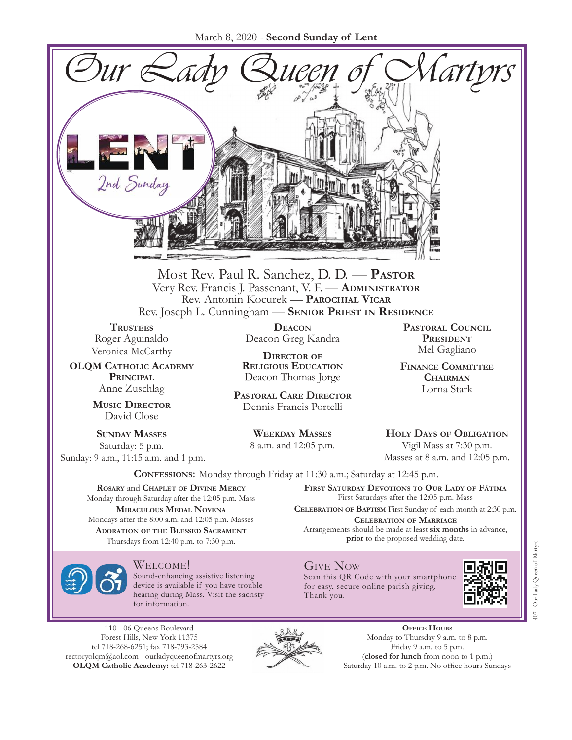March 8, 2020 - **Second Sunday of Lent**



Most Rev. Paul R. Sanchez, D. D. — **Pastor** Very Rev. Francis J. Passenant, V. F. — **Administrator** Rev. Antonin Kocurek — **Parochial Vicar** Rev. Joseph L. Cunningham — **Senior Priest in Residence**

**TRUSTEES** Roger Aguinaldo Veronica McCarthy

**OLQM Catholic Academy Principal** Anne Zuschlag

> **Music Director** David Close

**Sunday Masses** Saturday: 5 p.m. Sunday: 9 a.m., 11:15 a.m. and 1 p.m.

**Deacon** Deacon Greg Kandra

**Director of Religious Education** Deacon Thomas Jorge

**Pastoral Care Director** Dennis Francis Portelli

> **Weekday Masses** 8 a.m. and 12:05 p.m.

**Pastoral Council President** Mel Gagliano

**Finance Committee Chairman** Lorna Stark

**Holy Days of Obligation** Vigil Mass at 7:30 p.m.

Masses at 8 a.m. and 12:05 p.m.

**Confessions:** Monday through Friday at 11:30 a.m.; Saturday at 12:45 p.m.

**Rosary** and **Chaplet of Divine Mercy** Monday through Saturday after the 12:05 p.m. Mass **Miraculous Medal Novena** Mondays after the 8:00 a.m. and 12:05 p.m. Masses **Adoration of the Blessed Sacrament** Thursdays from 12:40 p.m. to 7:30 p.m.

**First Saturday Devotions to Our Lady of Fátima** First Saturdays after the 12:05 p.m. Mass **Celebration of Baptism** First Sunday of each month at 2:30 p.m. **Celebration of Marriage**

Give Now

Thank you.

Arrangements should be made at least **six months** in advance, **prior** to the proposed wedding date.

Scan this QR Code with your smartphone for easy, secure online parish giving.



Welcome!

Sound-enhancing assistive listening device is available if you have trouble hearing during Mass. Visit the sacristy for information.

110 - 06 Queens Boulevard Forest Hills, New York 11375 tel 718-268-6251; fax 718-793-2584 [rectoryolqm@aol.com](mailto:rectoryolqm@aol.com) **|**[ourladyqueenofmartyrs.org](www.ourladyqueenofmartyrs.org) **OLQM Catholic Academy:** tel 718-263-2622



**Office Hours** Monday to Thursday 9 a.m. to 8 p.m. Friday 9 a.m. to 5 p.m. (**closed for lunch** from noon to 1 p.m.) Saturday 10 a.m. to 2 p.m. No office hours Sundays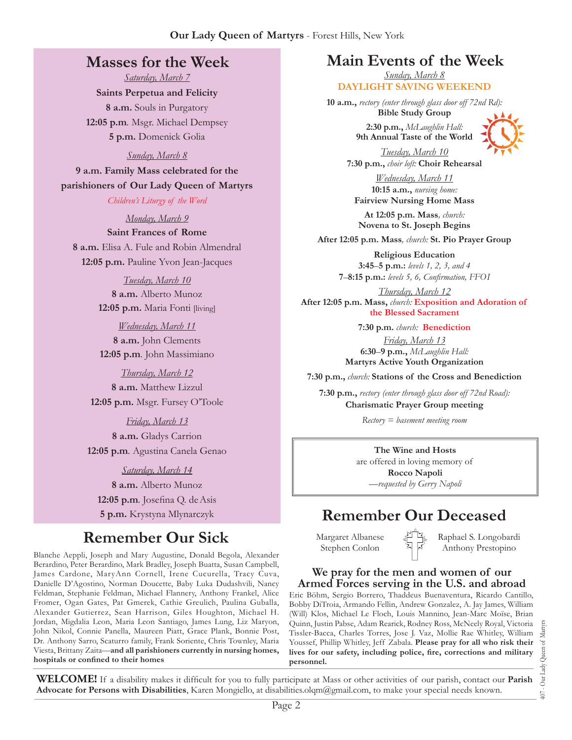## **Masses for the Week**

*Saturday, March 7*

**Saints Perpetua and Felicity 8 a.m.** Souls in Purgatory **12:05 p.m***.* Msgr. Michael Dempsey **5 p.m.** Domenick Golia

#### *Sunday, March 8*

**9 a.m. Family Mass celebrated for the parishioners of Our Lady Queen of Martyrs**

*Children's Liturgy of the Word* 

*Monday, March 9* **Saint Frances of Rome 8 a.m.** Elisa A. Fule and Robin Almendral **12:05 p.m.** Pauline Yvon Jean-Jacques

> *Tuesday, March 10* **8 a.m.** Alberto Munoz **12:05 p.m.** Maria Fonti [living]

> *Wednesday, March 11* **8 a.m.** John Clements **12:05 p.m***.* John Massimiano

*Thursday, March 12* **8 a.m.** Matthew Lizzul **12:05 p.m.** Msgr. Fursey O'Toole

*Friday, March 13* **8 a.m.** Gladys Carrion **12:05 p.m***.* Agustina Canela Genao

*Saturday, March 14* **8 a.m.** Alberto Munoz **12:05 p.m***.* Josefina Q. deAsis **5 p.m.** Krystyna Mlynarczyk

## **Remember Our Sick**

Blanche Aeppli, Joseph and Mary Augustine, Donald Begola, Alexander Berardino, Peter Berardino, Mark Bradley, Joseph Buatta, Susan Campbell, James Cardone, MaryAnn Cornell, Irene Cucurella, Tracy Cuva, Danielle D'Agostino, Norman Doucette, Baby Luka Dudashvili, Nancy Feldman, Stephanie Feldman, Michael Flannery, Anthony Frankel, Alice Fromer, Ogan Gates, Pat Gmerek, Cathie Greulich, Paulina Guballa, Alexander Gutierrez, Sean Harrison, Giles Houghton, Michael H. Jordan, Migdalia Leon, Maria Leon Santiago, James Lung, Liz Maryon, John Nikol, Connie Panella, Maureen Piatt, Grace Plank, Bonnie Post, Dr. Anthony Sarro, Scaturro family, Frank Soriente, Chris Townley, Maria Viesta, Brittany Zaita—**and all parishioners currently in nursing homes, hospitals or confined to their homes**

## **Main Events of the Week**

*Sunday, March 8* **DAYLIGHT SAVING WEEKEND**

**10 a.m.,** *rectory (enter through glass door off 72nd Rd):* **Bible Study Group**

> **2:30 p.m.,** *McLaughlin Hall:* **9th Annual Taste of the World**



*Tuesday, March 10* **7:30 p.m.,** *choir loft:* **Choir Rehearsal**

*Wednesday, March 11* **10:15 a.m.,** *nursing home:*  **Fairview Nursing Home Mass**

**At 12:05 p.m. Mass***, church:* **Novena to St. Joseph Begins**

**After 12:05 p.m. Mass***, church:* **St. Pio Prayer Group**

**Religious Education 3:45**–**5 p.m.:** *levels 1, 2, 3, and 4*  **7**–**8:15 p.m.:** *levels 5, 6, Confirmation, FFO  I*

*Thursday, March 12* **After 12:05 p.m. Mass,** *church:* **Exposition and Adoration of the Blessed Sacrament**

> **7:30 p.m.** *church:* **Benediction** *Friday, March 13* **6:30**–**9 p.m.,** *McLaughlin Hall:* **Martyrs Active Youth Organization**

**7:30 p.m.,** *church:* **Stations of the Cross and Benediction**

**7:30 p.m.,** *rectory (enter through glass door off 72nd Road):* **Charismatic Prayer Group meeting**

*Rectory = basement meeting room*

**The Wine and Hosts** are offered in loving memory of **Rocco Napoli** *—requested by Gerry Napoli* 

## **Remember Our Deceased**

Margaret Albanese Stephen Conlon

Raphael S. Longobardi Anthony Prestopino

#### **We pray for the men and women of our Armed Forces serving in the U.S. and abroad**

Eric Böhm, Sergio Borrero, Thaddeus Buenaventura, Ricardo Cantillo, Bobby DiTroia, Armando Fellin, Andrew Gonzalez, A. Jay James, William (Will) Klos, Michael Le Floch, Louis Mannino, Jean-Marc Moïse, Brian Quinn, Justin Pabse, Adam Rearick, Rodney Ross, McNeely Royal, Victoria Tissler-Bacca, Charles Torres, Jose J. Vaz, Mollie Rae Whitley, William Youssef, Phillip Whitley, Jeff Zabala. **Please pray for all who risk their lives for our safety, including police, fire, corrections and military personnel.**

**WELCOME!** If a disability makes it difficult for you to fully participate at Mass or other activities of our parish, contact our **Parish Advocate for Persons with Disabilities**, Karen Mongiello, at [disabilities.olqm@gmail.com,](mailto:disabilities.olqm@gmail.com) to make your special needs known.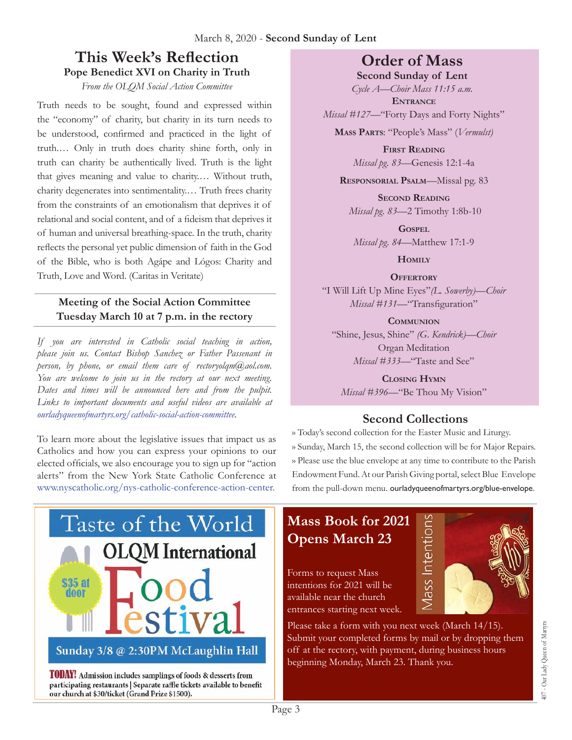## **This Week's Reflection Pope Benedict XVI on Charity in Truth**

*From the OLQM Social Action Committee*

Truth needs to be sought, found and expressed within the "economy" of charity, but charity in its turn needs to be understood, confirmed and practiced in the light of truth.… Only in truth does charity shine forth, only in truth can charity be authentically lived. Truth is the light that gives meaning and value to charity.… Without truth, charity degenerates into sentimentality.… Truth frees charity from the constraints of an emotionalism that deprives it of relational and social content, and of a fideism that deprives it of human and universal breathing-space. In the truth, charity reflects the personal yet public dimension of faith in the God of the Bible, who is both Agápe and Lógos: Charity and Truth, Love and Word. (Caritas in Veritate)

#### **Meeting of the Social Action Committee Tuesday March 10 at 7 p.m. in the rectory**

*If you are interested in Catholic social teaching in action, please join us. Contact Bishop Sanchez or Father Passenant in person, by phone, or email them care of rectoryolqm* $(\partial a)a$ *ol.com. You are welcome to join us in the rectory at our next meeting. Dates and times will be announced here and from the pulpit. Links to important documents and useful videos are available at ourladyqueenofmartyrs.org/catholic-social-action-committee.*

To learn more about the legislative issues that impact us as Catholics and how you can express your opinions to our elected officials, we also encourage you to sign up for "action alerts" from the New York State Catholic Conference at www.nyscatholic.org/nys-catholic-conference-action-center.



**TODAY!** Admission includes samplings of foods & desserts from participating restaurants | Separate raffle tickets available to benefit our church at \$30/ticket (Grand Prize \$1500).

## **Order of Mass**

**Second Sunday of Lent** *Cycle A—Choir Mass 11:15 a.m.*

**Entrance**

*Missal #127—*"Forty Days and Forty Nights"

**Mass Parts**: "People's Mass" (*Vermulst)*

**First Reading** *Missal pg. 83—*Genesis 12:1-4a

**Responsorial Psalm**—Missal pg. 83

**Second Reading** *Missal pg. 83—*2 Timothy 1:8b-10

**Gospel** *Missal pg. 84—*Matthew 17:1-9

**Homily**

**Offertory** "I Will Lift Up Mine Eyes"*(L. Sowerby)—Choir Missal #131—*"Transfiguration"

**Communion** "Shine, Jesus, Shine" *(G. Kendrick)—Choir* Organ Meditation *Missal #333—*"Taste and See"

**Closing Hymn** *Missal #396—*"Be Thou My Vision"

### **Second Collections**

›› Today's second collection for the Easter Music and Liturgy. ›› Sunday, March 15, the second collection will be for Major Repairs. ›› Please use the blue envelope at any time to contribute to the Parish Endowment Fund. At our Parish Giving portal, select Blue Envelope from the pull-down menu. ourladyqueenofmartyrs.org/blue-envelope.

Mass Intentions

## **Mass Book for 2021 Opens March 23**

Forms to request Mass intentions for 2021 will be available near the church entrances starting next week.

Please take a form with you next week (March 14/15). Submit your completed forms by mail or by dropping them off at the rectory, with payment, during business hours beginning Monday, March 23. Thank you.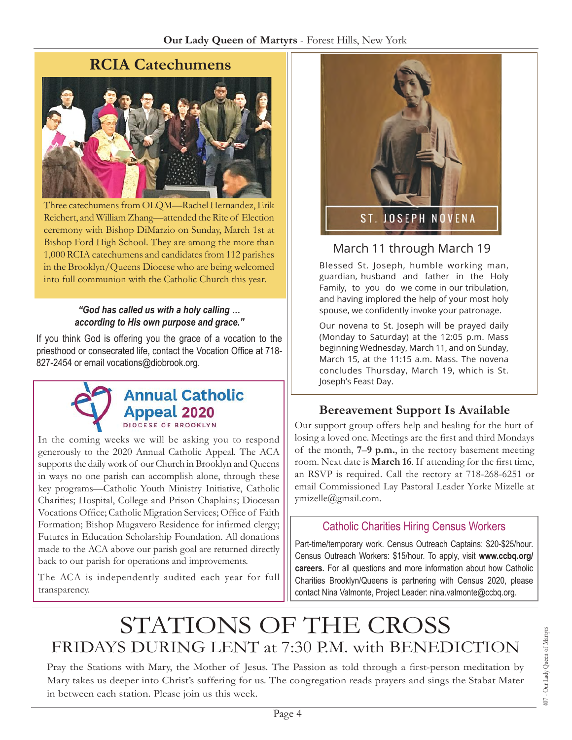

Three catechumens from OLQM—Rachel Hernandez, Erik Reichert, and William Zhang—attended the Rite of Election ceremony with Bishop DiMarzio on Sunday, March 1st at Bishop Ford High School. They are among the more than 1,000 RCIA catechumens and candidates from 112 parishes in the Brooklyn/Queens Diocese who are being welcomed into full communion with the Catholic Church this year.

#### *"God has called us with a holy calling … according to His own purpose and grace."*

If you think God is offering you the grace of a vocation to the priesthood or consecrated life, contact the Vocation Office at 718- 827-2454 or email [vocations@diobrook.org.](mailto:vocations@diobrook.org)



## **Annual Catholic Appeal 2020**

In the coming weeks we will be asking you to respond generously to the 2020 Annual Catholic Appeal. The ACA supports the daily work of our Church in Brooklyn and Queens in ways no one parish can accomplish alone, through these key programs—Catholic Youth Ministry Initiative, Catholic Charities; Hospital, College and Prison Chaplains; Diocesan Vocations Office; Catholic Migration Services; Office of Faith Formation; Bishop Mugavero Residence for infirmed clergy; Futures in Education Scholarship Foundation. All donations made to the ACA above our parish goal are returned directly back to our parish for operations and improvements.

The ACA is independently audited each year for full transparency.



## March 11 through March 19

Blessed St. Joseph, humble working man, guardian, husband and father in the Holy Family, to you do we come in our tribulation, and having implored the help of your most holy spouse, we confidently invoke your patronage.

Our novena to St. Joseph will be prayed daily (Monday to Saturday) at the 12:05 p.m. Mass beginning Wednesday, March 11, and on Sunday, March 15, at the 11:15 a.m. Mass. The novena concludes Thursday, March 19, which is St. Joseph's Feast Day.

## **Bereavement Support Is Available**

Our support group offers help and healing for the hurt of losing a loved one. Meetings are the first and third Mondays of the month, **7**–**9 p.m.**, in the rectory basement meeting room. Next date is **March 16**. If attending for the first time, an RSVP is required. Call the rectory at 718-268-6251 or email Commissioned Lay Pastoral Leader Yorke Mizelle at [ymizelle@](mailto:ymizelle@nyc.rr.com)gmail.com.

## Catholic Charities Hiring Census Workers

Part-time/temporary work. Census Outreach Captains: \$20-\$25/hour. Census Outreach Workers: \$15/hour. To apply, visit **www.ccbq.org/ careers.** For all questions and more information about how Catholic Charities Brooklyn/Queens is partnering with Census 2020, please contact Nina Valmonte, Project Leader: nina.valmonte@ccbq.org.

# STATIONS OF THE CROSS<br>FRIDAYS DURING LENT at 7:30 P.M. with BENEDICTION

Pray the Stations with Mary, the Mother of Jesus. The Passion as told through a first-person meditation by Mary takes us deeper into Christ's suffering for us. The congregation reads prayers and sings the Stabat Mater in between each station. Please join us this week.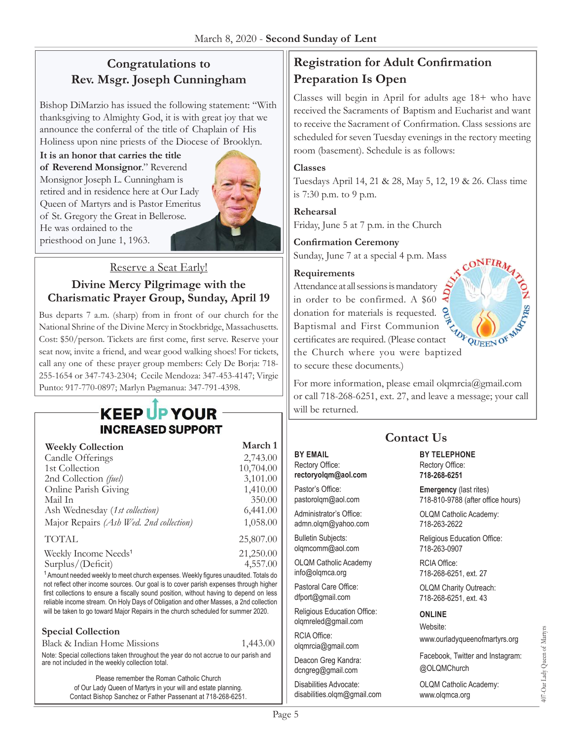## **Congratulations to Rev. Msgr. Joseph Cunningham**

Bishop DiMarzio has issued the following statement: "With thanksgiving to Almighty God, it is with great joy that we announce the conferral of the title of Chaplain of His Holiness upon nine priests of the Diocese of Brooklyn.

**It is an honor that carries the title of Reverend Monsignor**." Reverend Monsignor Joseph L. Cunningham is retired and in residence here at Our Lady Queen of Martyrs and is Pastor Emeritus of St. Gregory the Great in Bellerose. He was ordained to the priesthood on June 1, 1963.



Reserve a Seat Early!

#### **Divine Mercy Pilgrimage with the Charismatic Prayer Group, Sunday, April 19**

Bus departs 7 a.m. (sharp) from in front of our church for the National Shrine of the Divine Mercy in Stockbridge, Massachusetts. Cost: \$50/person. Tickets are first come, first serve. Reserve your seat now, invite a friend, and wear good walking shoes! For tickets, call any one of these prayer group members: Cely De Borja: 718- 255-1654 or 347-743-2304; Cecile Mendoza: 347-453-4147; Virgie Punto: 917-770-0897; Marlyn Pagmanua: 347-791-4398.

## **KEEP UP YOUR INCREASED SUPPORT**

| <b>Weekly Collection</b>                | March 1   |
|-----------------------------------------|-----------|
| Candle Offerings                        | 2,743.00  |
| 1st Collection                          | 10,704.00 |
| 2nd Collection (fuel)                   | 3,101.00  |
| Online Parish Giving                    | 1,410.00  |
| Mail In                                 | 350.00    |
| Ash Wednesday (1st collection)          | 6,441.00  |
| Major Repairs (Ash Wed. 2nd collection) | 1,058.00  |
| <b>TOTAL</b>                            | 25,807.00 |
| Weekly Income Needs <sup>1</sup>        | 21,250.00 |
| Surplus/(Deficit)                       | 4,557.00  |

<sup>1</sup> Amount needed weekly to meet church expenses. Weekly figures unaudited. Totals do not reflect other income sources. Our goal is to cover parish expenses through higher first collections to ensure a fiscally sound position, without having to depend on less reliable income stream. On Holy Days of Obligation and other Masses, a 2nd collection will be taken to go toward Major Repairs in the church scheduled for summer 2020.

#### **Special Collection**

| Black & Indian Home Missions                                                                                                            | 1,443.00 |
|-----------------------------------------------------------------------------------------------------------------------------------------|----------|
| Note: Special collections taken throughout the year do not accrue to our parish and<br>are not included in the weekly collection total. |          |

Please remember the Roman Catholic Church of Our Lady Queen of Martyrs in your will and estate planning. Contact Bishop Sanchez or Father Passenant at 718-268-6251.

## **Registration for Adult Confirmation Preparation Is Open**

Classes will begin in April for adults age 18+ who have received the Sacraments of Baptism and Eucharist and want to receive the Sacrament of Confirmation. Class sessions are scheduled for seven Tuesday evenings in the rectory meeting room (basement). Schedule is as follows:

#### **Classes**

Tuesdays April 14, 21 & 28, May 5, 12, 19 & 26. Class time is 7:30 p.m. to 9 p.m.

#### **Rehearsal**

Friday, June 5 at 7 p.m. in the Church

#### **Confirmation Ceremony**

Sunday, June 7 at a special 4 p.m. Mass

#### **Requirements**

Attendance at all sessions is mandatory in order to be confirmed. A \$60 donation for materials is requested. Baptismal and First Communion certificates are required. (Please contact Baptismal and Thist Community<br>certificates are required. (Please contact  $\omega_{\text{FQUEEN}}$  of<br>the Church where you were baptized to secure these documents.)



For more information, please email olgmrcia@gmail.com or call 718-268-6251, ext. 27, and leave a message; your call will be returned.

**Contact Us**

#### **BY EMAIL**

Rectory Office: **rectoryolqm@aol.com**

Pastor's Office: pastorolqm@aol.com

Administrator's Office: admn.olqm@yahoo.com

Bulletin Subjects: olqmcomm@aol.com

OLQM Catholic Academy info@olqmca.org

Pastoral Care Office: dfport@gmail.com

Religious Education Office: olqmreled@gmail.com

RCIA Office: [olqmrcia@gmail.com](mailto:olqmrcia@gmail.com)

Deacon Greg Kandra: dcngreg@gmail.com

Disabilities Advocate: [disabilities.olqm@gmail.com](mailto:disabilities.olqm@gmail.com)

#### **BY TELEPHONE** Rectory Office: **718-268-6251**

**Emergency** (last rites) 718-810-9788 (after office hours)

OLQM Catholic Academy: 718-263-2622

Religious Education Office: 718-263-0907

RCIA Office: 718-268-6251, ext. 27

OLQM Charity Outreach: 718-268-6251, ext. 43

#### **ONLINE**

Website:

www.ourladyqueenofmartyrs.org

Facebook, Twitter and Instagram: @OLQMChurch

OLQM Catholic Academy: <www.olqmca.org>